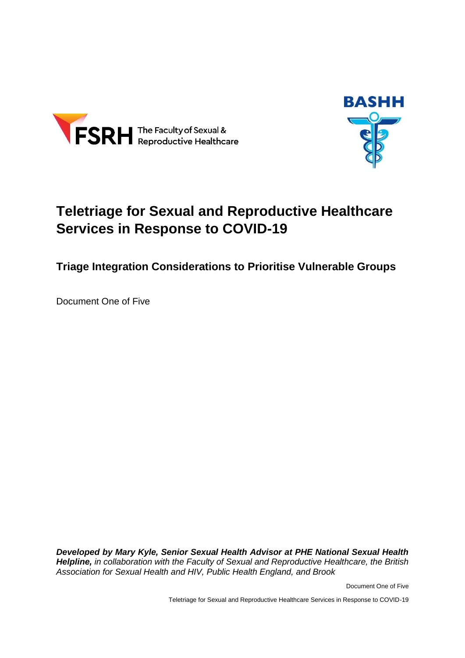



# **Teletriage for Sexual and Reproductive Healthcare Services in Response to COVID-19**

**Triage Integration Considerations to Prioritise Vulnerable Groups**

Document One of Five

*Developed by Mary Kyle, Senior Sexual Health Advisor at PHE National Sexual Health Helpline, in collaboration with the Faculty of Sexual and Reproductive Healthcare, the British Association for Sexual Health and HIV, Public Health England, and Brook*

Document One of Five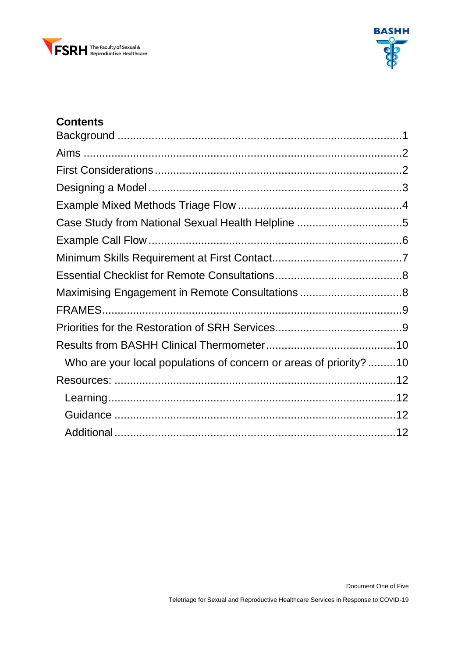



### **Contents**

| Who are your local populations of concern or areas of priority?10 |  |
|-------------------------------------------------------------------|--|
|                                                                   |  |
|                                                                   |  |
|                                                                   |  |
|                                                                   |  |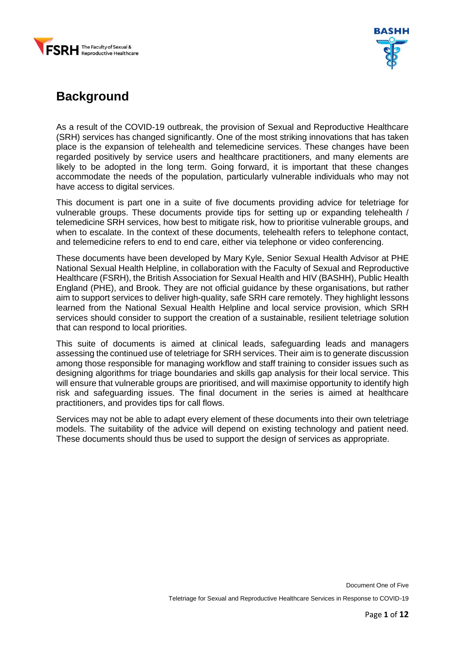



## <span id="page-2-0"></span>**Background**

As a result of the COVID-19 outbreak, the provision of Sexual and Reproductive Healthcare (SRH) services has changed significantly. One of the most striking innovations that has taken place is the expansion of telehealth and telemedicine services. These changes have been regarded positively by service users and healthcare practitioners, and many elements are likely to be adopted in the long term. Going forward, it is important that these changes accommodate the needs of the population, particularly vulnerable individuals who may not have access to digital services.

This document is part one in a suite of five documents providing advice for teletriage for vulnerable groups. These documents provide tips for setting up or expanding telehealth / telemedicine SRH services, how best to mitigate risk, how to prioritise vulnerable groups, and when to escalate. In the context of these documents, telehealth refers to telephone contact, and telemedicine refers to end to end care, either via telephone or video conferencing.

These documents have been developed by Mary Kyle, Senior Sexual Health Advisor at PHE National Sexual Health Helpline, in collaboration with the Faculty of Sexual and Reproductive Healthcare (FSRH), the British Association for Sexual Health and HIV (BASHH), Public Health England (PHE), and Brook. They are not official guidance by these organisations, but rather aim to support services to deliver high-quality, safe SRH care remotely. They highlight lessons learned from the National Sexual Health Helpline and local service provision, which SRH services should consider to support the creation of a sustainable, resilient teletriage solution that can respond to local priorities.

This suite of documents is aimed at clinical leads, safeguarding leads and managers assessing the continued use of teletriage for SRH services. Their aim is to generate discussion among those responsible for managing workflow and staff training to consider issues such as designing algorithms for triage boundaries and skills gap analysis for their local service. This will ensure that vulnerable groups are prioritised, and will maximise opportunity to identify high risk and safeguarding issues. The final document in the series is aimed at healthcare practitioners, and provides tips for call flows.

Services may not be able to adapt every element of these documents into their own teletriage models. The suitability of the advice will depend on existing technology and patient need. These documents should thus be used to support the design of services as appropriate.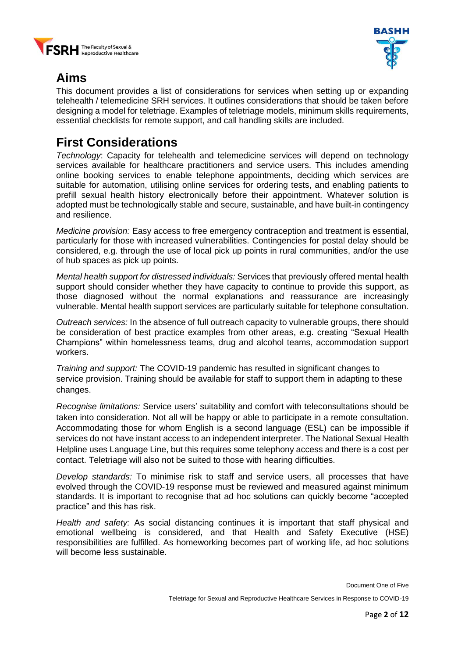



# <span id="page-3-0"></span>**Aims**

This document provides a list of considerations for services when setting up or expanding telehealth / telemedicine SRH services. It outlines considerations that should be taken before designing a model for teletriage. Examples of teletriage models, minimum skills requirements, essential checklists for remote support, and call handling skills are included.

## <span id="page-3-1"></span>**First Considerations**

*Technology*: Capacity for telehealth and telemedicine services will depend on technology services available for healthcare practitioners and service users. This includes amending online booking services to enable telephone appointments, deciding which services are suitable for automation, utilising online services for ordering tests, and enabling patients to prefill sexual health history electronically before their appointment. Whatever solution is adopted must be technologically stable and secure, sustainable, and have built-in contingency and resilience.

*Medicine provision:* Easy access to free emergency contraception and treatment is essential, particularly for those with increased vulnerabilities. Contingencies for postal delay should be considered, e.g. through the use of local pick up points in rural communities, and/or the use of hub spaces as pick up points.

*Mental health support for distressed individuals:* Services that previously offered mental health support should consider whether they have capacity to continue to provide this support, as those diagnosed without the normal explanations and reassurance are increasingly vulnerable. Mental health support services are particularly suitable for telephone consultation.

*Outreach services:* In the absence of full outreach capacity to vulnerable groups, there should be consideration of best practice examples from other areas, e.g. creating "Sexual Health Champions" within homelessness teams, drug and alcohol teams, accommodation support workers.

*Training and support:* The COVID-19 pandemic has resulted in significant changes to service provision. Training should be available for staff to support them in adapting to these changes.

*Recognise limitations:* Service users' suitability and comfort with teleconsultations should be taken into consideration. Not all will be happy or able to participate in a remote consultation. Accommodating those for whom English is a second language (ESL) can be impossible if services do not have instant access to an independent interpreter. The National Sexual Health Helpline uses Language Line, but this requires some telephony access and there is a cost per contact. Teletriage will also not be suited to those with hearing difficulties.

*Develop standards:* To minimise risk to staff and service users, all processes that have evolved through the COVID-19 response must be reviewed and measured against minimum standards. It is important to recognise that ad hoc solutions can quickly become "accepted practice" and this has risk.

*Health and safety:* As social distancing continues it is important that staff physical and emotional wellbeing is considered, and that Health and Safety Executive (HSE) responsibilities are fulfilled. As homeworking becomes part of working life, ad hoc solutions will become less sustainable.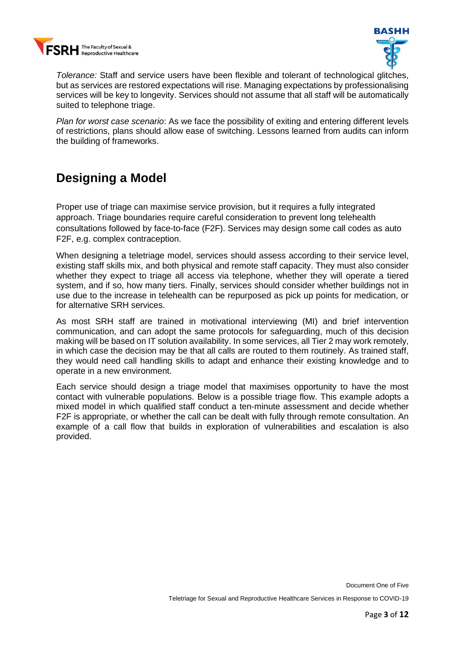



*Tolerance:* Staff and service users have been flexible and tolerant of technological glitches, but as services are restored expectations will rise. Managing expectations by professionalising services will be key to longevity. Services should not assume that all staff will be automatically suited to telephone triage.

*Plan for worst case scenario*: As we face the possibility of exiting and entering different levels of restrictions, plans should allow ease of switching. Lessons learned from audits can inform the building of frameworks.

## <span id="page-4-0"></span>**Designing a Model**

Proper use of triage can maximise service provision, but it requires a fully integrated approach. Triage boundaries require careful consideration to prevent long telehealth consultations followed by face-to-face (F2F). Services may design some call codes as auto F2F, e.g. complex contraception.

When designing a teletriage model, services should assess according to their service level, existing staff skills mix, and both physical and remote staff capacity. They must also consider whether they expect to triage all access via telephone, whether they will operate a tiered system, and if so, how many tiers. Finally, services should consider whether buildings not in use due to the increase in telehealth can be repurposed as pick up points for medication, or for alternative SRH services.

As most SRH staff are trained in motivational interviewing (MI) and brief intervention communication, and can adopt the same protocols for safeguarding, much of this decision making will be based on IT solution availability. In some services, all Tier 2 may work remotely, in which case the decision may be that all calls are routed to them routinely. As trained staff, they would need call handling skills to adapt and enhance their existing knowledge and to operate in a new environment.

Each service should design a triage model that maximises opportunity to have the most contact with vulnerable populations. Below is a possible triage flow. This example adopts a mixed model in which qualified staff conduct a ten-minute assessment and decide whether F2F is appropriate, or whether the call can be dealt with fully through remote consultation. An example of a call flow that builds in exploration of vulnerabilities and escalation is also provided.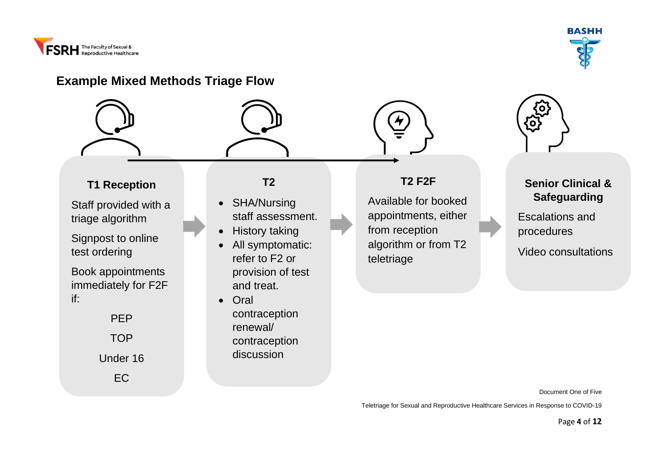



### **Example Mixed Methods Triage Flow**

<span id="page-5-0"></span>

**Senior Clinical & Safeguarding**

Escalations and procedures

Video consultations

Document One of Five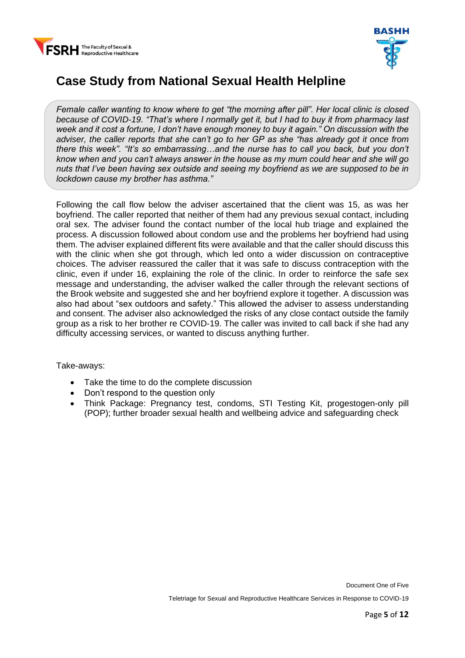



## <span id="page-6-0"></span>**Case Study from National Sexual Health Helpline**

*Female caller wanting to know where to get "the morning after pill". Her local clinic is closed because of COVID-19. "That's where I normally get it, but I had to buy it from pharmacy last week and it cost a fortune, I don't have enough money to buy it again." On discussion with the adviser, the caller reports that she can't go to her GP as she "has already got it once from there this week". "It's so embarrassing…and the nurse has to call you back, but you don't know when and you can't always answer in the house as my mum could hear and she will go nuts that I've been having sex outside and seeing my boyfriend as we are supposed to be in lockdown cause my brother has asthma."*

Following the call flow below the adviser ascertained that the client was 15, as was her boyfriend. The caller reported that neither of them had any previous sexual contact, including oral sex. The adviser found the contact number of the local hub triage and explained the process. A discussion followed about condom use and the problems her boyfriend had using them. The adviser explained different fits were available and that the caller should discuss this with the clinic when she got through, which led onto a wider discussion on contraceptive choices. The adviser reassured the caller that it was safe to discuss contraception with the clinic, even if under 16, explaining the role of the clinic. In order to reinforce the safe sex message and understanding, the adviser walked the caller through the relevant sections of the Brook website and suggested she and her boyfriend explore it together. A discussion was also had about "sex outdoors and safety." This allowed the adviser to assess understanding and consent. The adviser also acknowledged the risks of any close contact outside the family group as a risk to her brother re COVID-19. The caller was invited to call back if she had any difficulty accessing services, or wanted to discuss anything further.

Take-aways:

- Take the time to do the complete discussion
- Don't respond to the question only
- Think Package: Pregnancy test, condoms, STI Testing Kit, progestogen-only pill (POP); further broader sexual health and wellbeing advice and safeguarding check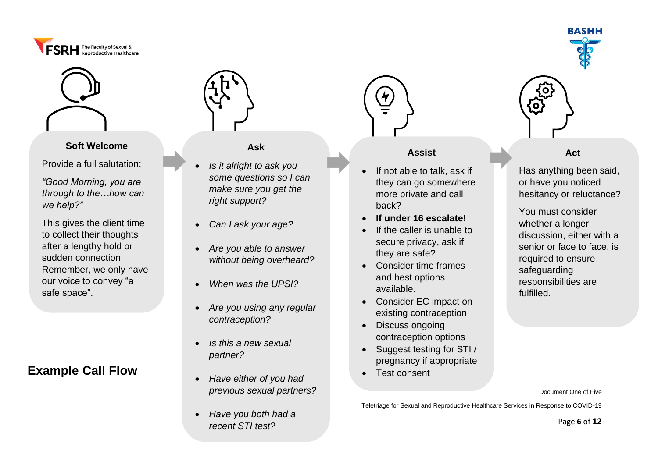



#### **Soft Welcome**

Provide a full salutation:

*"Good Morning, you are through to the…how can we help?"*

This gives the client time to collect their thoughts after a lengthy hold or sudden connection. Remember, we only have our voice to convey "a safe space".

## **Example Call Flow**



#### **Ask**

- *Is it alright to ask you some questions so I can make sure you get the right support?*
- *Can I ask your age?*
- *Are you able to answer without being overheard?*
- *When was the UPSI?*
- *Are you using any regular contraception?*
- *Is this a new sexual partner?*
- *Have either of you had previous sexual partners?*
- *Have you both had a recent STI test?*



#### **Assist**

- If not able to talk, ask if they can go somewhere more private and call back?
- **If under 16 escalate!**
- If the caller is unable to secure privacy, ask if they are safe?
- Consider time frames and best options available.
- Consider EC impact on existing contraception
- Discuss ongoing contraception options
- Suggest testing for STI / pregnancy if appropriate
- Test consent





**Act**

Has anything been said, or have you noticed hesitancy or reluctance?

You must consider whether a longer discussion, either with a senior or face to face, is required to ensure safeguarding responsibilities are fulfilled.

Document One of Five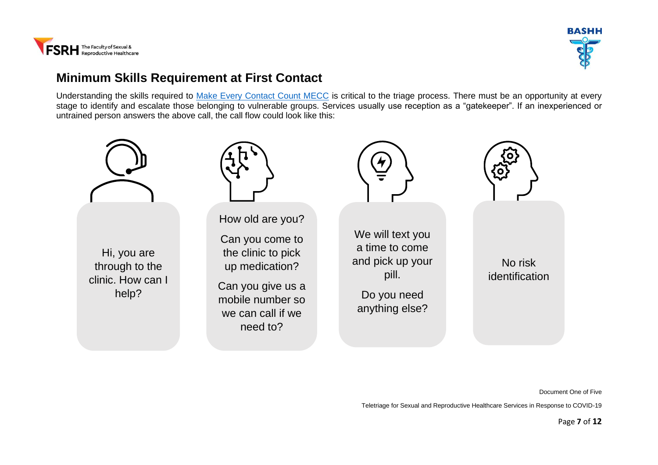



### **Minimum Skills Requirement at First Contact**

Understanding the skills required to [Make Every Contact Count MECC](https://www.makingeverycontactcount.co.uk/) is critical to the triage process. There must be an opportunity at every stage to identify and escalate those belonging to vulnerable groups. Services usually use reception as a "gatekeeper". If an inexperienced or untrained person answers the above call, the call flow could look like this:

<span id="page-8-0"></span>

Document One of Five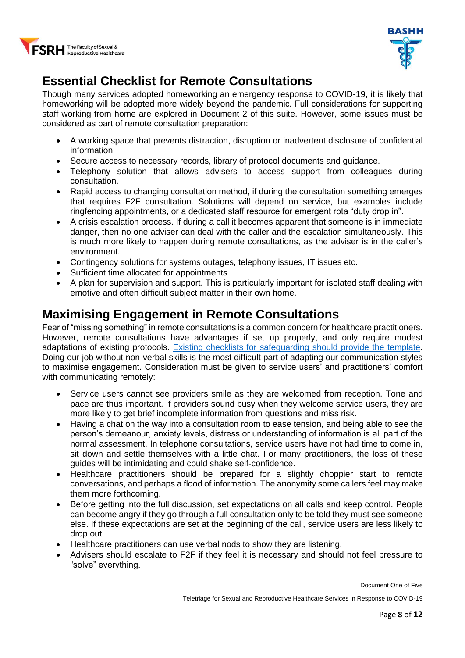



# <span id="page-9-0"></span>**Essential Checklist for Remote Consultations**

Though many services adopted homeworking an emergency response to COVID-19, it is likely that homeworking will be adopted more widely beyond the pandemic. Full considerations for supporting staff working from home are explored in Document 2 of this suite. However, some issues must be considered as part of remote consultation preparation:

- A working space that prevents distraction, disruption or inadvertent disclosure of confidential information.
- Secure access to necessary records, library of protocol documents and guidance.
- Telephony solution that allows advisers to access support from colleagues during consultation.
- Rapid access to changing consultation method, if during the consultation something emerges that requires F2F consultation. Solutions will depend on service, but examples include ringfencing appointments, or a dedicated staff resource for emergent rota "duty drop in".
- A crisis escalation process. If during a call it becomes apparent that someone is in immediate danger, then no one adviser can deal with the caller and the escalation simultaneously. This is much more likely to happen during remote consultations, as the adviser is in the caller's environment.
- Contingency solutions for systems outages, telephony issues, IT issues etc.
- Sufficient time allocated for appointments
- A plan for supervision and support. This is particularly important for isolated staff dealing with emotive and often difficult subject matter in their own home.

## <span id="page-9-1"></span>**Maximising Engagement in Remote Consultations**

Fear of "missing something" in remote consultations is a common concern for healthcare practitioners. However, remote consultations have advantages if set up properly, and only require modest adaptations of existing protocols. [Existing checklists for safeguarding should provide the template.](https://www.fsrh.org/standards-and-guidance/documents/fsrhbashh-standards-for-online-and-remote-providers-of-sexual/) Doing our job without non-verbal skills is the most difficult part of adapting our communication styles to maximise engagement. Consideration must be given to service users' and practitioners' comfort with communicating remotely:

- Service users cannot see providers smile as they are welcomed from reception. Tone and pace are thus important. If providers sound busy when they welcome service users, they are more likely to get brief incomplete information from questions and miss risk.
- Having a chat on the way into a consultation room to ease tension, and being able to see the person's demeanour, anxiety levels, distress or understanding of information is all part of the normal assessment. In telephone consultations, service users have not had time to come in, sit down and settle themselves with a little chat. For many practitioners, the loss of these guides will be intimidating and could shake self-confidence.
- Healthcare practitioners should be prepared for a slightly choppier start to remote conversations, and perhaps a flood of information. The anonymity some callers feel may make them more forthcoming.
- Before getting into the full discussion, set expectations on all calls and keep control. People can become angry if they go through a full consultation only to be told they must see someone else. If these expectations are set at the beginning of the call, service users are less likely to drop out.
- Healthcare practitioners can use verbal nods to show they are listening.
- Advisers should escalate to F2F if they feel it is necessary and should not feel pressure to "solve" everything.

Document One of Five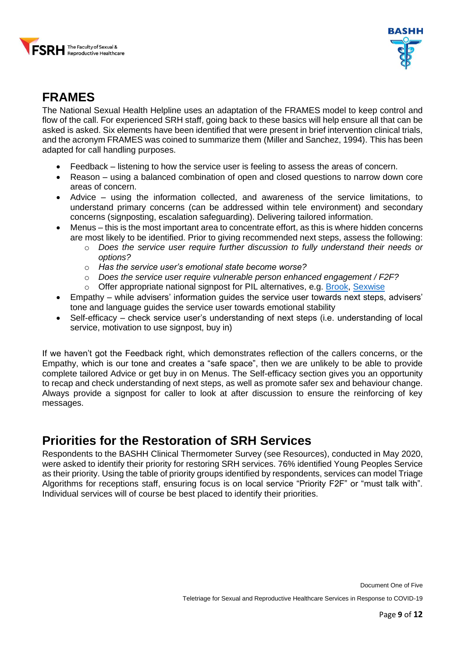



## <span id="page-10-0"></span>**FRAMES**

The National Sexual Health Helpline uses an adaptation of the FRAMES model to keep control and flow of the call. For experienced SRH staff, going back to these basics will help ensure all that can be asked is asked. Six elements have been identified that were present in brief intervention clinical trials, and the acronym FRAMES was coined to summarize them [\(Miller and Sanchez, 1994\).](https://www.ncbi.nlm.nih.gov/books/NBK64963/) This has been adapted for call handling purposes.

- Feedback listening to how the service user is feeling to assess the areas of concern.
- Reason using a balanced combination of open and closed questions to narrow down core areas of concern.
- Advice using the information collected, and awareness of the service limitations, to understand primary concerns (can be addressed within tele environment) and secondary concerns (signposting, escalation safeguarding). Delivering tailored information.
- Menus this is the most important area to concentrate effort, as this is where hidden concerns are most likely to be identified. Prior to giving recommended next steps, assess the following:
	- o *Does the service user require further discussion to fully understand their needs or options?*
	- o *Has the service user's emotional state become worse?*
	- o *Does the service user require vulnerable person enhanced engagement / F2F?*
	- $\circ$  Offer appropriate national signpost for PIL alternatives, e.g. [Brook,](https://www.brook.org.uk/) [Sexwise](https://www.sexwise.fpa.org.uk/)
- Empathy while advisers' information guides the service user towards next steps, advisers' tone and language guides the service user towards emotional stability
- Self-efficacy check service user's understanding of next steps (i.e. understanding of local service, motivation to use signpost, buy in)

If we haven't got the Feedback right, which demonstrates reflection of the callers concerns, or the Empathy, which is our tone and creates a "safe space", then we are unlikely to be able to provide complete tailored Advice or get buy in on Menus. The Self-efficacy section gives you an opportunity to recap and check understanding of next steps, as well as promote safer sex and behaviour change. Always provide a signpost for caller to look at after discussion to ensure the reinforcing of key messages.

### <span id="page-10-1"></span>**Priorities for the Restoration of SRH Services**

Respondents to the BASHH Clinical Thermometer Survey (see Resources), conducted in May 2020, were asked to identify their priority for restoring SRH services. 76% identified Young Peoples Service as their priority. Using the table of priority groups identified by respondents, services can model Triage Algorithms for receptions staff, ensuring focus is on local service "Priority F2F" or "must talk with". Individual services will of course be best placed to identify their priorities.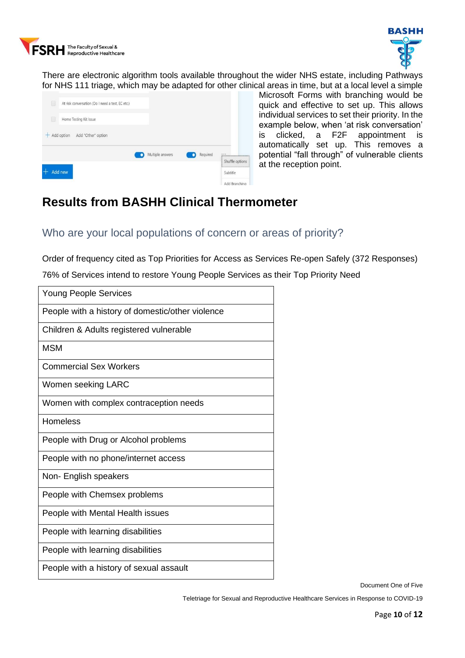



There are electronic algorithm tools available throughout the wider NHS estate, including Pathways for NHS 111 triage, which may be adapted for other clinical areas in time, but at a local level a simple

|     | At risk conversation (Do I need a test, EC etc.) |                  |          |                                                         |
|-----|--------------------------------------------------|------------------|----------|---------------------------------------------------------|
|     | Home Testing Kit Issue                           |                  |          |                                                         |
| $+$ | Add option<br>Add "Other" option                 |                  |          |                                                         |
|     |                                                  | Multiple answers | Required | ,,,,,,,,,,,,,,,,,,,,,,,,,,,,,,,,,,,,                    |
|     | Add new                                          |                  |          | Shuffle options<br>************************<br>Subtitle |
|     |                                                  |                  |          | Add Branching                                           |

Microsoft Forms with branching would be quick and effective to set up. This allows individual services to set their priority. In the example below, when 'at risk conversation' is clicked, a F2F appointment is automatically set up. This removes a potential "fall through" of vulnerable clients at the reception point.

# <span id="page-11-0"></span>**Results from BASHH Clinical Thermometer**

#### <span id="page-11-1"></span>Who are your local populations of concern or areas of priority?

Order of frequency cited as Top Priorities for Access as Services Re-open Safely (372 Responses)

76% of Services intend to restore Young People Services as their Top Priority Need

| <b>Young People Services</b>                     |
|--------------------------------------------------|
| People with a history of domestic/other violence |
| Children & Adults registered vulnerable          |
| MSM                                              |
| <b>Commercial Sex Workers</b>                    |
| Women seeking LARC                               |
| Women with complex contraception needs           |
| Homeless                                         |
| People with Drug or Alcohol problems             |
| People with no phone/internet access             |
| Non- English speakers                            |
| People with Chemsex problems                     |
| People with Mental Health issues                 |
| People with learning disabilities                |
| People with learning disabilities                |
| People with a history of sexual assault          |

Document One of Five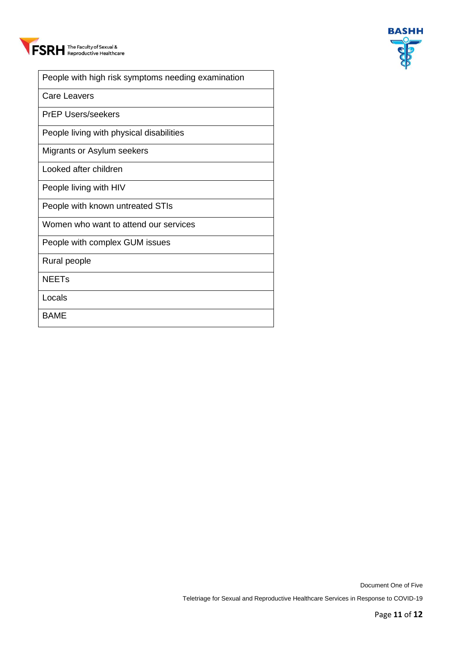



| People with high risk symptoms needing examination |
|----------------------------------------------------|
| Care Leavers                                       |
| <b>PrEP Users/seekers</b>                          |
| People living with physical disabilities           |
| Migrants or Asylum seekers                         |
| Looked after children                              |
| People living with HIV                             |
| People with known untreated STIs                   |
| Women who want to attend our services              |
| People with complex GUM issues                     |
| Rural people                                       |
| <b>NEET<sub>S</sub></b>                            |
| Locals                                             |
| <b>BAME</b>                                        |